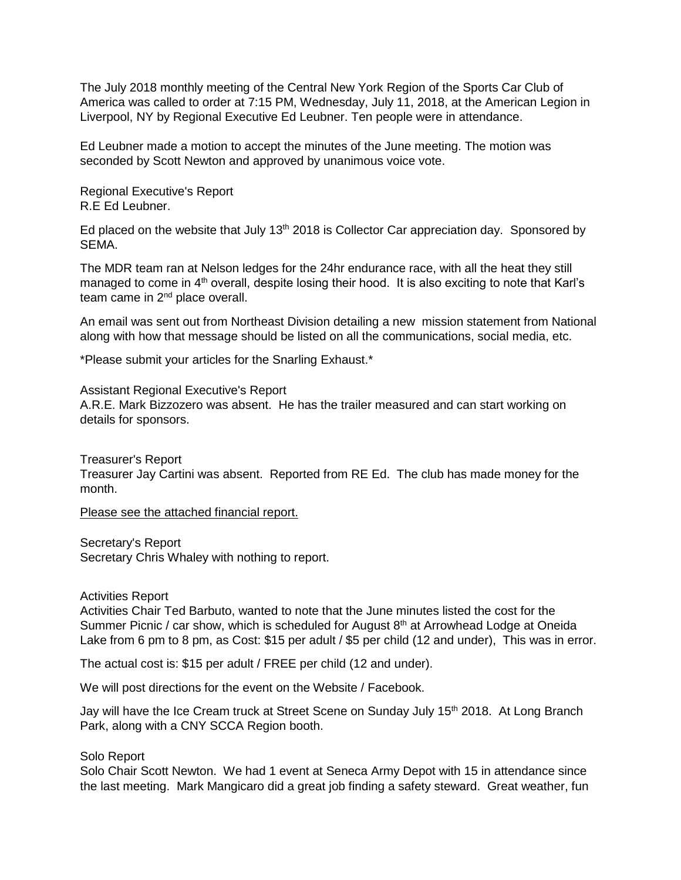The July 2018 monthly meeting of the Central New York Region of the Sports Car Club of America was called to order at 7:15 PM, Wednesday, July 11, 2018, at the American Legion in Liverpool, NY by Regional Executive Ed Leubner. Ten people were in attendance.

Ed Leubner made a motion to accept the minutes of the June meeting. The motion was seconded by Scott Newton and approved by unanimous voice vote.

Regional Executive's Report R.E Ed Leubner.

Ed placed on the website that July  $13<sup>th</sup> 2018$  is Collector Car appreciation day. Sponsored by SEMA.

The MDR team ran at Nelson ledges for the 24hr endurance race, with all the heat they still managed to come in 4<sup>th</sup> overall, despite losing their hood. It is also exciting to note that Karl's team came in  $2<sup>nd</sup>$  place overall.

An email was sent out from Northeast Division detailing a new mission statement from National along with how that message should be listed on all the communications, social media, etc.

\*Please submit your articles for the Snarling Exhaust.\*

Assistant Regional Executive's Report A.R.E. Mark Bizzozero was absent. He has the trailer measured and can start working on details for sponsors.

Treasurer's Report Treasurer Jay Cartini was absent. Reported from RE Ed. The club has made money for the month.

Please see the attached financial report.

Secretary's Report Secretary Chris Whaley with nothing to report.

Activities Report

Activities Chair Ted Barbuto, wanted to note that the June minutes listed the cost for the Summer Picnic / car show, which is scheduled for August  $8<sup>th</sup>$  at Arrowhead Lodge at Oneida Lake from 6 pm to 8 pm, as Cost: \$15 per adult / \$5 per child (12 and under), This was in error.

The actual cost is: \$15 per adult / FREE per child (12 and under).

We will post directions for the event on the Website / Facebook.

Jay will have the Ice Cream truck at Street Scene on Sunday July 15<sup>th</sup> 2018. At Long Branch Park, along with a CNY SCCA Region booth.

## Solo Report

Solo Chair Scott Newton. We had 1 event at Seneca Army Depot with 15 in attendance since the last meeting. Mark Mangicaro did a great job finding a safety steward. Great weather, fun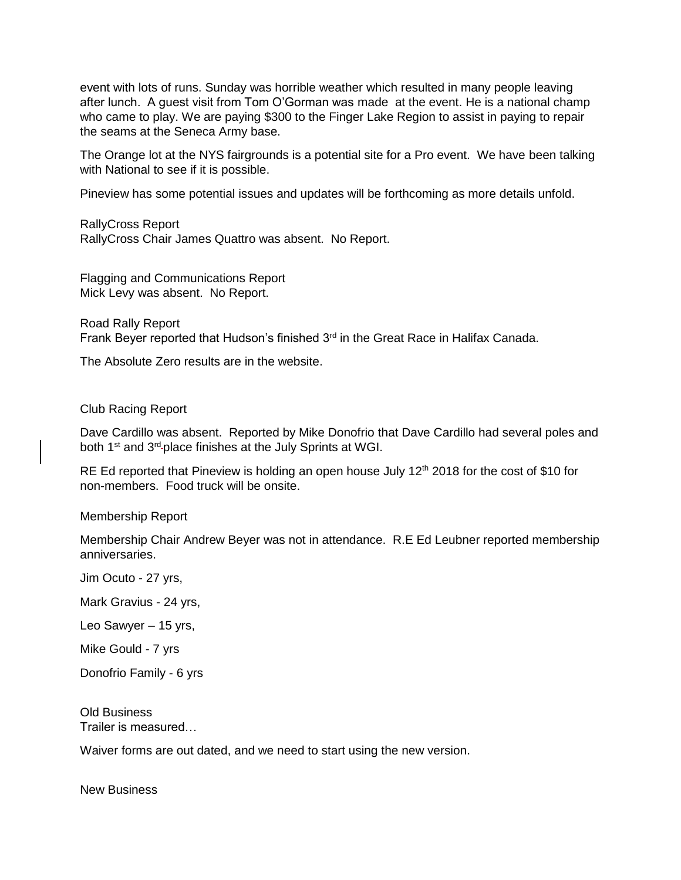event with lots of runs. Sunday was horrible weather which resulted in many people leaving after lunch. A guest visit from Tom O'Gorman was made at the event. He is a national champ who came to play. We are paying \$300 to the Finger Lake Region to assist in paying to repair the seams at the Seneca Army base.

The Orange lot at the NYS fairgrounds is a potential site for a Pro event. We have been talking with National to see if it is possible.

Pineview has some potential issues and updates will be forthcoming as more details unfold.

RallyCross Report RallyCross Chair James Quattro was absent. No Report.

Flagging and Communications Report Mick Levy was absent. No Report.

Road Rally Report Frank Beyer reported that Hudson's finished 3<sup>rd</sup> in the Great Race in Halifax Canada.

The Absolute Zero results are in the website.

Club Racing Report

Dave Cardillo was absent. Reported by Mike Donofrio that Dave Cardillo had several poles and both 1<sup>st</sup> and 3<sup>rd</sup>-place finishes at the July Sprints at WGI.

RE Ed reported that Pineview is holding an open house July 12<sup>th</sup> 2018 for the cost of \$10 for non-members. Food truck will be onsite.

Membership Report

Membership Chair Andrew Beyer was not in attendance. R.E Ed Leubner reported membership anniversaries.

Jim Ocuto - 27 yrs,

Mark Gravius - 24 yrs,

Leo Sawyer – 15 yrs,

Mike Gould - 7 yrs

Donofrio Family - 6 yrs

Old Business Trailer is measured…

Waiver forms are out dated, and we need to start using the new version.

New Business